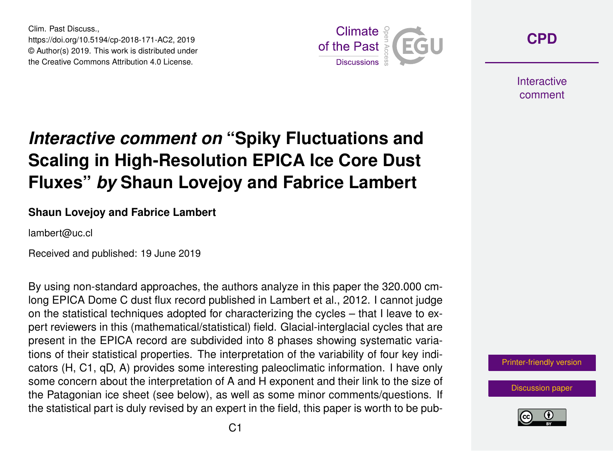Clim. Past Discuss., https://doi.org/10.5194/cp-2018-171-AC2, 2019 © Author(s) 2019. This work is distributed under the Creative Commons Attribution 4.0 License.



**[CPD](https://www.clim-past-discuss.net/)**

**Interactive** comment

# *Interactive comment on* **"Spiky Fluctuations and Scaling in High-Resolution EPICA Ice Core Dust Fluxes"** *by* **Shaun Lovejoy and Fabrice Lambert**

#### **Shaun Lovejoy and Fabrice Lambert**

lambert@uc.cl

Received and published: 19 June 2019

By using non-standard approaches, the authors analyze in this paper the 320.000 cmlong EPICA Dome C dust flux record published in Lambert et al., 2012. I cannot judge on the statistical techniques adopted for characterizing the cycles – that I leave to expert reviewers in this (mathematical/statistical) field. Glacial-interglacial cycles that are present in the EPICA record are subdivided into 8 phases showing systematic variations of their statistical properties. The interpretation of the variability of four key indicators (H, C1, qD, A) provides some interesting paleoclimatic information. I have only some concern about the interpretation of A and H exponent and their link to the size of the Patagonian ice sheet (see below), as well as some minor comments/questions. If the statistical part is duly revised by an expert in the field, this paper is worth to be pub-



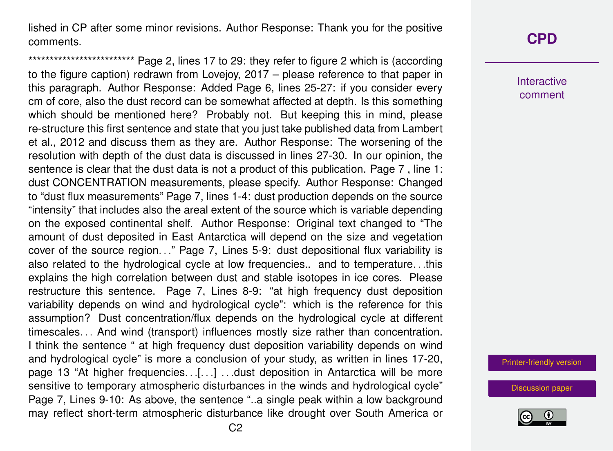lished in CP after some minor revisions. Author Response: Thank you for the positive comments.

 $**$  Page 2, lines 17 to 29: they refer to figure 2 which is (according to the figure caption) redrawn from Lovejoy, 2017 – please reference to that paper in this paragraph. Author Response: Added Page 6, lines 25-27: if you consider every cm of core, also the dust record can be somewhat affected at depth. Is this something which should be mentioned here? Probably not. But keeping this in mind, please re-structure this first sentence and state that you just take published data from Lambert et al., 2012 and discuss them as they are. Author Response: The worsening of the resolution with depth of the dust data is discussed in lines 27-30. In our opinion, the sentence is clear that the dust data is not a product of this publication. Page 7 , line 1: dust CONCENTRATION measurements, please specify. Author Response: Changed to "dust flux measurements" Page 7, lines 1-4: dust production depends on the source "intensity" that includes also the areal extent of the source which is variable depending on the exposed continental shelf. Author Response: Original text changed to "The amount of dust deposited in East Antarctica will depend on the size and vegetation cover of the source region. . ." Page 7, Lines 5-9: dust depositional flux variability is also related to the hydrological cycle at low frequencies.. and to temperature. . .this explains the high correlation between dust and stable isotopes in ice cores. Please restructure this sentence. Page 7, Lines 8-9: "at high frequency dust deposition variability depends on wind and hydrological cycle": which is the reference for this assumption? Dust concentration/flux depends on the hydrological cycle at different timescales. . . And wind (transport) influences mostly size rather than concentration. I think the sentence " at high frequency dust deposition variability depends on wind and hydrological cycle" is more a conclusion of your study, as written in lines 17-20, page 13 "At higher frequencies. . .[. . .] . . .dust deposition in Antarctica will be more sensitive to temporary atmospheric disturbances in the winds and hydrological cycle" Page 7, Lines 9-10: As above, the sentence "..a single peak within a low background may reflect short-term atmospheric disturbance like drought over South America or **[CPD](https://www.clim-past-discuss.net/)**

**Interactive** comment

[Printer-friendly version](https://www.clim-past-discuss.net/cp-2018-171/cp-2018-171-AC2-print.pdf)

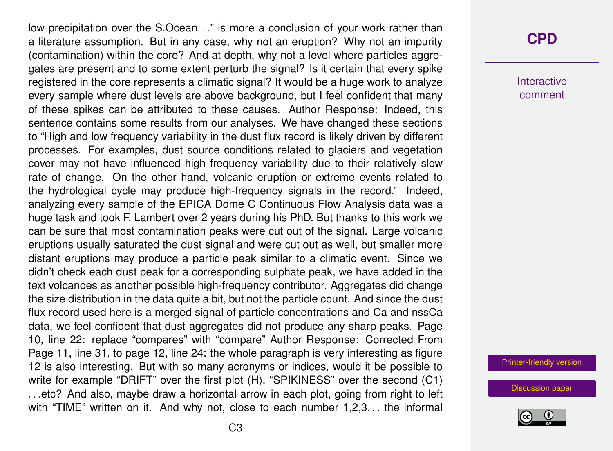low precipitation over the S.Ocean..." is more a conclusion of your work rather than a literature assumption. But in any case, why not an eruption? Why not an impurity (contamination) within the core? And at depth, why not a level where particles aggregates are present and to some extent perturb the signal? Is it certain that every spike registered in the core represents a climatic signal? It would be a huge work to analyze every sample where dust levels are above background, but I feel confident that many of these spikes can be attributed to these causes. Author Response: Indeed, this sentence contains some results from our analyses. We have changed these sections to "High and low frequency variability in the dust flux record is likely driven by different processes. For examples, dust source conditions related to glaciers and vegetation cover may not have influenced high frequency variability due to their relatively slow rate of change. On the other hand, volcanic eruption or extreme events related to the hydrological cycle may produce high-frequency signals in the record." Indeed, analyzing every sample of the EPICA Dome C Continuous Flow Analysis data was a huge task and took F. Lambert over 2 years during his PhD. But thanks to this work we can be sure that most contamination peaks were cut out of the signal. Large volcanic eruptions usually saturated the dust signal and were cut out as well, but smaller more distant eruptions may produce a particle peak similar to a climatic event. Since we didn't check each dust peak for a corresponding sulphate peak, we have added in the text volcanoes as another possible high-frequency contributor. Aggregates did change the size distribution in the data quite a bit, but not the particle count. And since the dust flux record used here is a merged signal of particle concentrations and Ca and nssCa data, we feel confident that dust aggregates did not produce any sharp peaks. Page 10, line 22: replace "compares" with "compare" Author Response: Corrected From Page 11, line 31, to page 12, line 24: the whole paragraph is very interesting as figure 12 is also interesting. But with so many acronyms or indices, would it be possible to write for example "DRIFT" over the first plot (H), "SPIKINESS" over the second (C1) . . .etc? And also, maybe draw a horizontal arrow in each plot, going from right to left with "TIME" written on it. And why not, close to each number 1,2,3. . . the informal

### **[CPD](https://www.clim-past-discuss.net/)**

**Interactive** comment

[Printer-friendly version](https://www.clim-past-discuss.net/cp-2018-171/cp-2018-171-AC2-print.pdf)

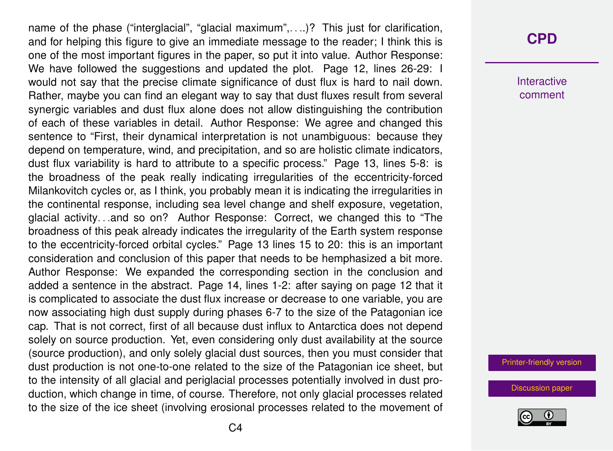name of the phase ("interglacial", "glacial maximum",....)? This just for clarification, and for helping this figure to give an immediate message to the reader; I think this is one of the most important figures in the paper, so put it into value. Author Response: We have followed the suggestions and updated the plot. Page 12, lines 26-29: I would not say that the precise climate significance of dust flux is hard to nail down. Rather, maybe you can find an elegant way to say that dust fluxes result from several synergic variables and dust flux alone does not allow distinguishing the contribution of each of these variables in detail. Author Response: We agree and changed this sentence to "First, their dynamical interpretation is not unambiguous: because they depend on temperature, wind, and precipitation, and so are holistic climate indicators, dust flux variability is hard to attribute to a specific process." Page 13, lines 5-8: is the broadness of the peak really indicating irregularities of the eccentricity-forced Milankovitch cycles or, as I think, you probably mean it is indicating the irregularities in the continental response, including sea level change and shelf exposure, vegetation, glacial activity. . .and so on? Author Response: Correct, we changed this to "The broadness of this peak already indicates the irregularity of the Earth system response to the eccentricity-forced orbital cycles." Page 13 lines 15 to 20: this is an important consideration and conclusion of this paper that needs to be hemphasized a bit more. Author Response: We expanded the corresponding section in the conclusion and added a sentence in the abstract. Page 14, lines 1-2: after saying on page 12 that it is complicated to associate the dust flux increase or decrease to one variable, you are now associating high dust supply during phases 6-7 to the size of the Patagonian ice cap. That is not correct, first of all because dust influx to Antarctica does not depend solely on source production. Yet, even considering only dust availability at the source (source production), and only solely glacial dust sources, then you must consider that dust production is not one-to-one related to the size of the Patagonian ice sheet, but to the intensity of all glacial and periglacial processes potentially involved in dust production, which change in time, of course. Therefore, not only glacial processes related to the size of the ice sheet (involving erosional processes related to the movement of

#### **[CPD](https://www.clim-past-discuss.net/)**

**Interactive** comment

[Printer-friendly version](https://www.clim-past-discuss.net/cp-2018-171/cp-2018-171-AC2-print.pdf)

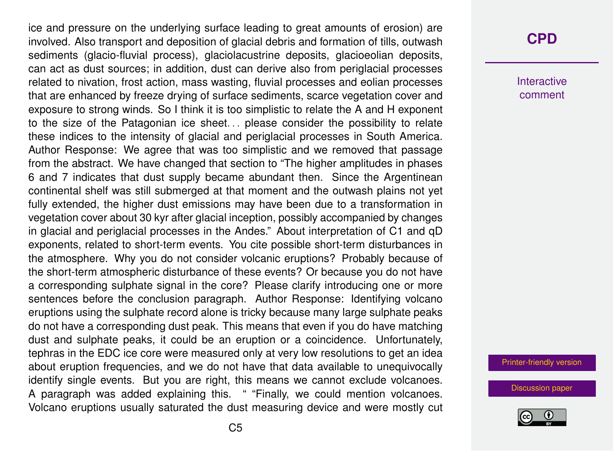ice and pressure on the underlying surface leading to great amounts of erosion) are involved. Also transport and deposition of glacial debris and formation of tills, outwash sediments (glacio-fluvial process), glaciolacustrine deposits, glacioeolian deposits, can act as dust sources; in addition, dust can derive also from periglacial processes related to nivation, frost action, mass wasting, fluvial processes and eolian processes that are enhanced by freeze drying of surface sediments, scarce vegetation cover and exposure to strong winds. So I think it is too simplistic to relate the A and H exponent to the size of the Patagonian ice sheet. . . please consider the possibility to relate these indices to the intensity of glacial and periglacial processes in South America. Author Response: We agree that was too simplistic and we removed that passage from the abstract. We have changed that section to "The higher amplitudes in phases 6 and 7 indicates that dust supply became abundant then. Since the Argentinean continental shelf was still submerged at that moment and the outwash plains not yet fully extended, the higher dust emissions may have been due to a transformation in vegetation cover about 30 kyr after glacial inception, possibly accompanied by changes in glacial and periglacial processes in the Andes." About interpretation of C1 and qD exponents, related to short-term events. You cite possible short-term disturbances in the atmosphere. Why you do not consider volcanic eruptions? Probably because of the short-term atmospheric disturbance of these events? Or because you do not have a corresponding sulphate signal in the core? Please clarify introducing one or more sentences before the conclusion paragraph. Author Response: Identifying volcano eruptions using the sulphate record alone is tricky because many large sulphate peaks do not have a corresponding dust peak. This means that even if you do have matching dust and sulphate peaks, it could be an eruption or a coincidence. Unfortunately, tephras in the EDC ice core were measured only at very low resolutions to get an idea about eruption frequencies, and we do not have that data available to unequivocally identify single events. But you are right, this means we cannot exclude volcanoes. A paragraph was added explaining this. " "Finally, we could mention volcanoes. Volcano eruptions usually saturated the dust measuring device and were mostly cut

#### **[CPD](https://www.clim-past-discuss.net/)**

**Interactive** comment

[Printer-friendly version](https://www.clim-past-discuss.net/cp-2018-171/cp-2018-171-AC2-print.pdf)